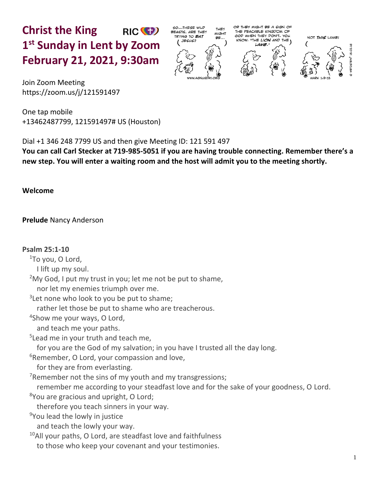**Christ the King** RIC<sup>(C</sup>) **1 st Sunday in Lent by Zoom February 21, 2021, 9:30am**



OR THEY MIGHT BE A SIGN OF THE PEACABLE KINGDOM OF GOD WHEN THEY DON'T. YOU "THE LION AND THE KNOW, LAMB



NOT THIS LAMB.

Join Zoom Meeting https://zoom.us/j/121591497

One tap mobile +13462487799, 121591497# US (Houston)

Dial +1 346 248 7799 US and then give Meeting ID: 121 591 497

**You can call Carl Stecker at 719-985-5051 if you are having trouble connecting. Remember there's a new step. You will enter a waiting room and the host will admit you to the meeting shortly.** 

**Welcome**

# **Prelude** Nancy Anderson

### **Psalm 25:1-10**

<sup>1</sup>To you, O Lord,

I lift up my soul.

 $2$ My God, I put my trust in you; let me not be put to shame,

nor let my enemies triumph over me.

<sup>3</sup>Let none who look to you be put to shame;

rather let those be put to shame who are treacherous.

4 Show me your ways, O Lord,

and teach me your paths.

<sup>5</sup> Lead me in your truth and teach me,

for you are the God of my salvation; in you have I trusted all the day long.

 $6R$ emember, O Lord, your compassion and love,

for they are from everlasting.

<sup>7</sup>Remember not the sins of my youth and my transgressions;

remember me according to your steadfast love and for the sake of your goodness, O Lord.

<sup>8</sup>You are gracious and upright, O Lord;

therefore you teach sinners in your way.

<sup>9</sup>You lead the lowly in justice

and teach the lowly your way.

 $10$ All your paths, O Lord, are steadfast love and faithfulness to those who keep your covenant and your testimonies.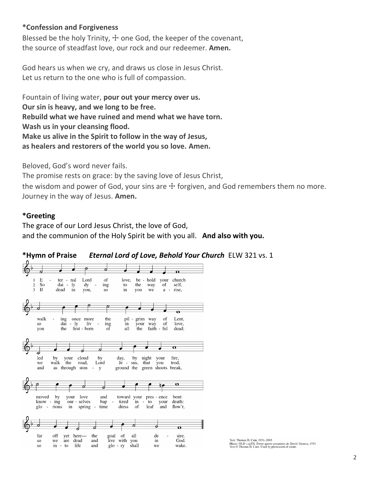#### **\*Confession and Forgiveness**

Blessed be the holy Trinity,  $\pm$  one God, the keeper of the covenant, the source of steadfast love, our rock and our redeemer. **Amen.**

God hears us when we cry, and draws us close in Jesus Christ. Let us return to the one who is full of compassion.

Fountain of living water, **pour out your mercy over us. Our sin is heavy, and we long to be free. Rebuild what we have ruined and mend what we have torn. Wash us in your cleansing flood. Make us alive in the Spirit to follow in the way of Jesus, as healers and restorers of the world you so love. Amen.**

Beloved, God's word never fails.

The promise rests on grace: by the saving love of Jesus Christ,

the wisdom and power of God, your sins are  $+$  forgiven, and God remembers them no more. Journey in the way of Jesus. **Amen.**

#### **\*Greeting**

The grace of our Lord Jesus Christ, the love of God, and the communion of the Holy Spirit be with you all. **And also with you.**



#### **\*Hymn of Praise** *Eternal Lord of Love, Behold Your Church* ELW 321 vs. 1

Text: Thomas H. Cain, 1931-2003 Music: OLD 124TH, *Trente quatre pseaumes de David*, Geneva, 1551<br>Text © Thomas H. Cain. Used by permission of estate.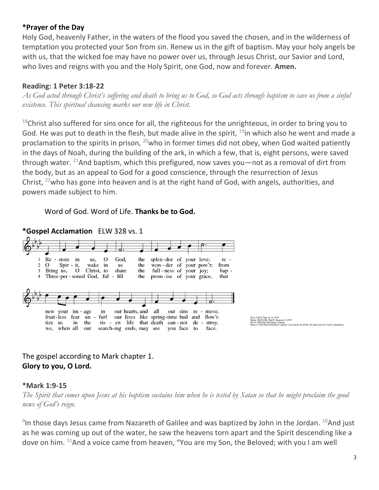### **\*Prayer of the Day**

Holy God, heavenly Father, in the waters of the flood you saved the chosen, and in the wilderness of temptation you protected your Son from sin. Renew us in the gift of baptism. May your holy angels be with us, that the wicked foe may have no power over us, through Jesus Christ, our Savior and Lord, who lives and reigns with you and the Holy Spirit, one God, now and forever. **Amen.**

## **Reading: 1 Peter 3:18-22**

*As God acted through Christ's suffering and death to bring us to God, so God acts through baptism to save us from a sinful existence. This spiritual cleansing marks our new life in Christ.*

 $18$ Christ also suffered for sins once for all, the righteous for the unrighteous, in order to bring you to God. He was put to death in the flesh, but made alive in the spirit,  $19$ in which also he went and made a proclamation to the spirits in prison,  $^{20}$ who in former times did not obey, when God waited patiently in the days of Noah, during the building of the ark, in which a few, that is, eight persons, were saved through water. <sup>21</sup>And baptism, which this prefigured, now saves you—not as a removal of dirt from the body, but as an appeal to God for a good conscience, through the resurrection of Jesus Christ,  $^{22}$ who has gone into heaven and is at the right hand of God, with angels, authorities, and powers made subject to him.

Word of God. Word of Life. **Thanks be to God.**



**\*Gospel Acclamation** ELW 328 vs. 1



# The gospel according to Mark chapter 1. **Glory to you, O Lord.**

### **\*Mark 1:9-15**

*The Spirit that comes upon Jesus at his baptism sustains him when he is tested by Satan so that he might proclaim the good news of God's reign.*

 $9$ In those days Jesus came from Nazareth of Galilee and was baptized by John in the Jordan.  $^{10}$ And just as he was coming up out of the water, he saw the heavens torn apart and the Spirit descending like a dove on him. <sup>11</sup>And a voice came from heaven, "You are my Son, the Beloved; with you I am well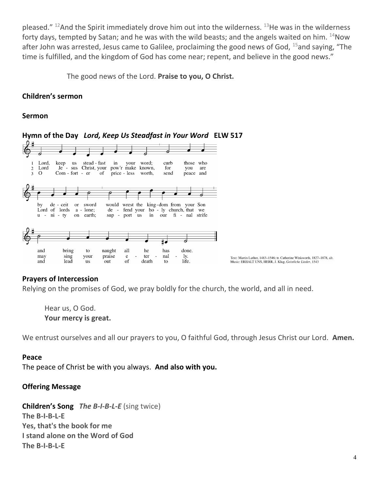pleased."  $^{12}$ And the Spirit immediately drove him out into the wilderness.  $^{13}$ He was in the wilderness forty days, tempted by Satan; and he was with the wild beasts; and the angels waited on him.  $^{14}$ Now after John was arrested, Jesus came to Galilee, proclaiming the good news of God,  $^{15}$ and saying, "The time is fulfilled, and the kingdom of God has come near; repent, and believe in the good news."

The good news of the Lord. **Praise to you, O Christ.**

### **Children's sermon**

#### **Sermon**



**Hymn of the Day** *Lord, Keep Us Steadfast in Your Word* **ELW 517**

#### **Prayers of Intercession**

Relying on the promises of God, we pray boldly for the church, the world, and all in need.

Hear us, O God. **Your mercy is great.**

We entrust ourselves and all our prayers to you, O faithful God, through Jesus Christ our Lord. **Amen.**

#### **Peace**

The peace of Christ be with you always. **And also with you.**

### **Offering Message**

**Children's Song** *The B-I-B-L-E* (sing twice) **The B-I-B-L-E Yes, that's the book for me I stand alone on the Word of God The B-I-B-L-E**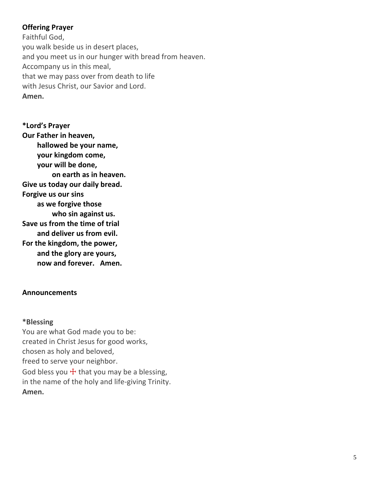## **Offering Prayer**

Faithful God, you walk beside us in desert places, and you meet us in our hunger with bread from heaven. Accompany us in this meal, that we may pass over from death to life with Jesus Christ, our Savior and Lord. **Amen.**

**\*Lord's Prayer Our Father in heaven, hallowed be your name, your kingdom come, your will be done, on earth as in heaven. Give us today our daily bread. Forgive us our sins as we forgive those who sin against us. Save us from the time of trial and deliver us from evil. For the kingdom, the power, and the glory are yours, now and forever. Amen.**

### **Announcements**

#### **\*Blessing**

You are what God made you to be: created in Christ Jesus for good works, chosen as holy and beloved, freed to serve your neighbor. God bless you  $\pm$  that you may be a blessing, in the name of the holy and life-giving Trinity. **Amen.**